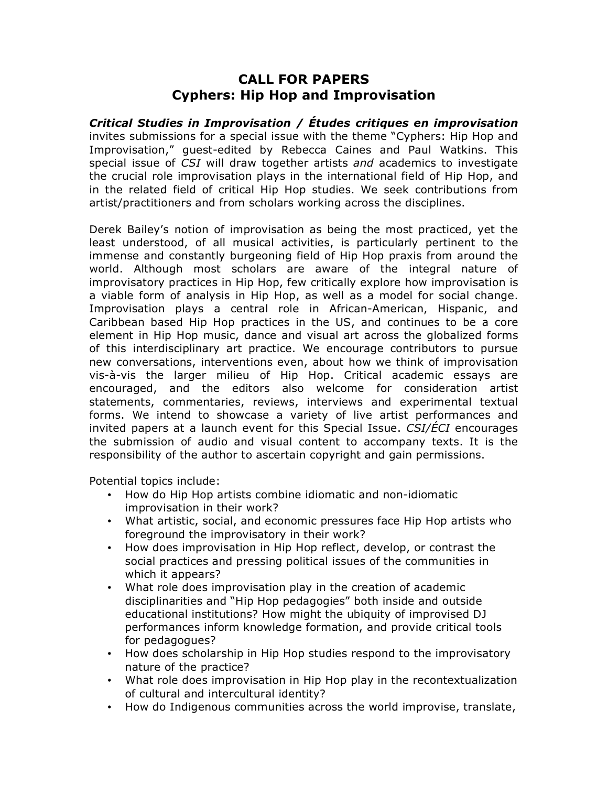## **CALL FOR PAPERS Cyphers: Hip Hop and Improvisation**

*Critical Studies in Improvisation / Études critiques en improvisation* invites submissions for a special issue with the theme "Cyphers: Hip Hop and Improvisation," guest-edited by Rebecca Caines and Paul Watkins. This special issue of *CSI* will draw together artists *and* academics to investigate the crucial role improvisation plays in the international field of Hip Hop, and in the related field of critical Hip Hop studies. We seek contributions from artist/practitioners and from scholars working across the disciplines.

Derek Bailey's notion of improvisation as being the most practiced, yet the least understood, of all musical activities, is particularly pertinent to the immense and constantly burgeoning field of Hip Hop praxis from around the world. Although most scholars are aware of the integral nature of improvisatory practices in Hip Hop, few critically explore how improvisation is a viable form of analysis in Hip Hop, as well as a model for social change. Improvisation plays a central role in African-American, Hispanic, and Caribbean based Hip Hop practices in the US, and continues to be a core element in Hip Hop music, dance and visual art across the globalized forms of this interdisciplinary art practice. We encourage contributors to pursue new conversations, interventions even, about how we think of improvisation vis-à-vis the larger milieu of Hip Hop. Critical academic essays are encouraged, and the editors also welcome for consideration artist statements, commentaries, reviews, interviews and experimental textual forms. We intend to showcase a variety of live artist performances and invited papers at a launch event for this Special Issue. *CSI/ÉCI* encourages the submission of audio and visual content to accompany texts. It is the responsibility of the author to ascertain copyright and gain permissions.

Potential topics include:

- How do Hip Hop artists combine idiomatic and non-idiomatic improvisation in their work?
- What artistic, social, and economic pressures face Hip Hop artists who foreground the improvisatory in their work?
- How does improvisation in Hip Hop reflect, develop, or contrast the social practices and pressing political issues of the communities in which it appears?
- What role does improvisation play in the creation of academic disciplinarities and "Hip Hop pedagogies" both inside and outside educational institutions? How might the ubiquity of improvised DJ performances inform knowledge formation, and provide critical tools for pedagogues?
- How does scholarship in Hip Hop studies respond to the improvisatory nature of the practice?
- What role does improvisation in Hip Hop play in the recontextualization of cultural and intercultural identity?
- How do Indigenous communities across the world improvise, translate,